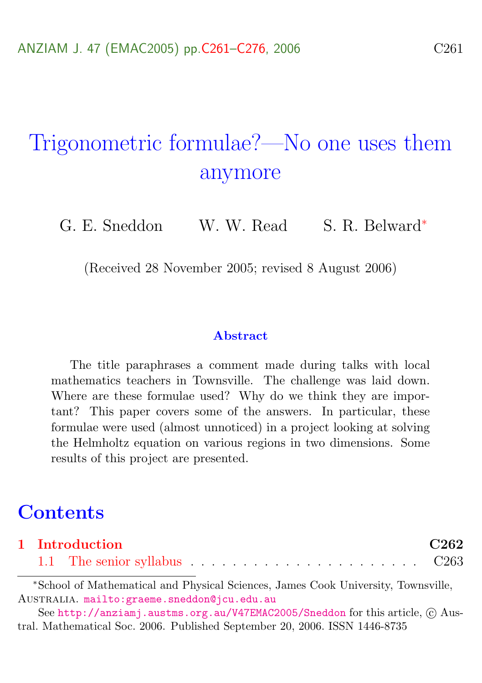# Trigonometric formulae?—No one uses them anymore

G. E. Sneddon W. W. Read S. R. Belward<sup>∗</sup>

(Received 28 November 2005; revised 8 August 2006)

#### **Abstract**

The title paraphrases a comment made during talks with local mathematics teachers in Townsville. The challenge was laid down. Where are these formulae used? Why do we think they are important? This paper covers some of the answers. In particular, these formulae were used (almost unnoticed) in a project looking at solving the Helmholtz equation on various regions in two dimensions. Some results of this project are presented.

### **Contents**

|  | 1 Introduction |  |  |  |  |  |  |  |  |  |  |  | C <sub>262</sub> |
|--|----------------|--|--|--|--|--|--|--|--|--|--|--|------------------|
|  |                |  |  |  |  |  |  |  |  |  |  |  |                  |

<sup>∗</sup>School of Mathematical and Physical Sciences, James Cook University, Townsville, Australia. <mailto:graeme.sneddon@jcu.edu.au>

See <http://anziamj.austms.org.au/V47EMAC2005/Sneddon> for this article,  $\odot$  Austral. Mathematical Soc. 2006. Published September 20, 2006. ISSN 1446-8735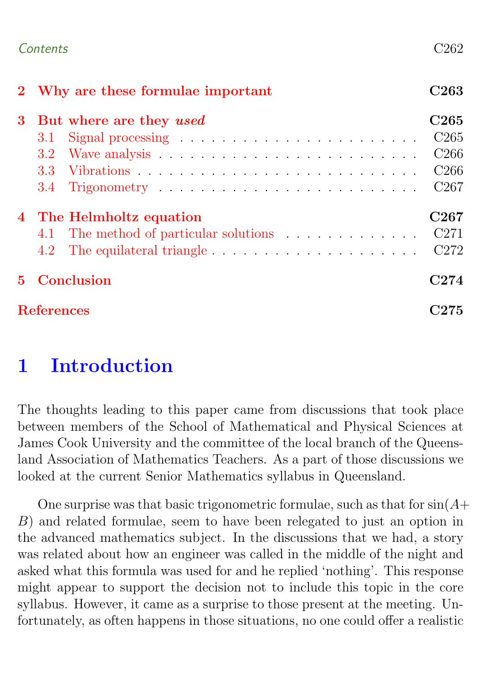#### Contents C262

|             | 2 Why are these formulae important                                                     | C263             |  |  |  |  |  |  |  |  |  |  |  |
|-------------|----------------------------------------------------------------------------------------|------------------|--|--|--|--|--|--|--|--|--|--|--|
| $3^-$       | But where are they used                                                                |                  |  |  |  |  |  |  |  |  |  |  |  |
|             | 3.1                                                                                    | C <sub>265</sub> |  |  |  |  |  |  |  |  |  |  |  |
|             | 3.2 <sub>1</sub>                                                                       | C <sub>266</sub> |  |  |  |  |  |  |  |  |  |  |  |
|             | 3.3 <sub>1</sub>                                                                       | C <sub>266</sub> |  |  |  |  |  |  |  |  |  |  |  |
|             | 3.4                                                                                    | C <sub>267</sub> |  |  |  |  |  |  |  |  |  |  |  |
|             | 4 The Helmholtz equation                                                               |                  |  |  |  |  |  |  |  |  |  |  |  |
|             | 4.1 The method of particular solutions                                                 | C271             |  |  |  |  |  |  |  |  |  |  |  |
|             | The equilateral triangle $\dots \dots \dots \dots \dots \dots \dots \dots$ C272<br>4.2 |                  |  |  |  |  |  |  |  |  |  |  |  |
| $5^{\circ}$ | Conclusion                                                                             |                  |  |  |  |  |  |  |  |  |  |  |  |
|             | <b>References</b>                                                                      |                  |  |  |  |  |  |  |  |  |  |  |  |

# <span id="page-1-0"></span>1 Introduction

The thoughts leading to this paper came from discussions that took place between members of the School of Mathematical and Physical Sciences at James Cook University and the committee of the local branch of the Queensland Association of Mathematics Teachers. As a part of those discussions we looked at the current Senior Mathematics syllabus in Queensland.

One surprise was that basic trigonometric formulae, such as that for  $sin(A+)$ B) and related formulae, seem to have been relegated to just an option in the advanced mathematics subject. In the discussions that we had, a story was related about how an engineer was called in the middle of the night and asked what this formula was used for and he replied 'nothing'. This response might appear to support the decision not to include this topic in the core syllabus. However, it came as a surprise to those present at the meeting. Unfortunately, as often happens in those situations, no one could offer a realistic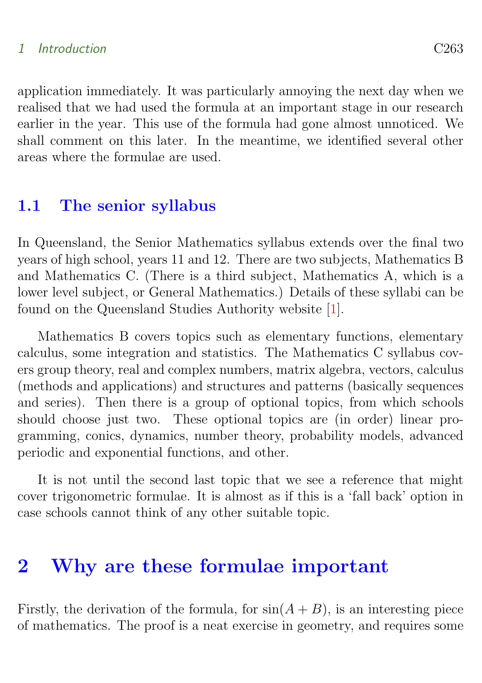#### <span id="page-2-2"></span>1 Introduction C263

application immediately. It was particularly annoying the next day when we realised that we had used the formula at an important stage in our research earlier in the year. This use of the formula had gone almost unnoticed. We shall comment on this later. In the meantime, we identified several other areas where the formulae are used.

#### <span id="page-2-0"></span>1.1 The senior syllabus

In Queensland, the Senior Mathematics syllabus extends over the final two years of high school, years 11 and 12. There are two subjects, Mathematics B and Mathematics C. (There is a third subject, Mathematics A, which is a lower level subject, or General Mathematics.) Details of these syllabi can be found on the Queensland Studies Authority website [\[1\]](#page-14-1).

Mathematics B covers topics such as elementary functions, elementary calculus, some integration and statistics. The Mathematics C syllabus covers group theory, real and complex numbers, matrix algebra, vectors, calculus (methods and applications) and structures and patterns (basically sequences and series). Then there is a group of optional topics, from which schools should choose just two. These optional topics are (in order) linear programming, conics, dynamics, number theory, probability models, advanced periodic and exponential functions, and other.

It is not until the second last topic that we see a reference that might cover trigonometric formulae. It is almost as if this is a 'fall back' option in case schools cannot think of any other suitable topic.

### <span id="page-2-1"></span>2 Why are these formulae important

Firstly, the derivation of the formula, for  $sin(A + B)$ , is an interesting piece of mathematics. The proof is a neat exercise in geometry, and requires some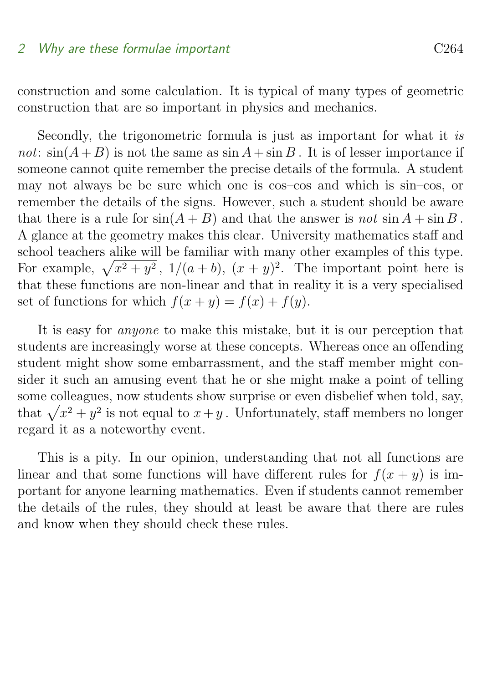#### 2 Why are these formulae important C264

construction and some calculation. It is typical of many types of geometric construction that are so important in physics and mechanics.

Secondly, the trigonometric formula is just as important for what it is not:  $sin(A+B)$  is not the same as  $sin A + sin B$ . It is of lesser importance if someone cannot quite remember the precise details of the formula. A student may not always be be sure which one is cos–cos and which is sin–cos, or remember the details of the signs. However, such a student should be aware that there is a rule for  $sin(A + B)$  and that the answer is not  $sin A + sin B$ . A glance at the geometry makes this clear. University mathematics staff and school teachers alike will be familiar with many other examples of this type. For example,  $\sqrt{x^2 + y^2}$ ,  $1/(a + b)$ ,  $(x + y)^2$ . The important point here is that these functions are non-linear and that in reality it is a very specialised set of functions for which  $f(x + y) = f(x) + f(y)$ .

It is easy for anyone to make this mistake, but it is our perception that students are increasingly worse at these concepts. Whereas once an offending student might show some embarrassment, and the staff member might consider it such an amusing event that he or she might make a point of telling some colleagues, now students show surprise or even disbelief when told, say, that  $\sqrt{x^2 + y^2}$  is not equal to  $x + y$ . Unfortunately, staff members no longer regard it as a noteworthy event.

<span id="page-3-0"></span>This is a pity. In our opinion, understanding that not all functions are linear and that some functions will have different rules for  $f(x + y)$  is important for anyone learning mathematics. Even if students cannot remember the details of the rules, they should at least be aware that there are rules and know when they should check these rules.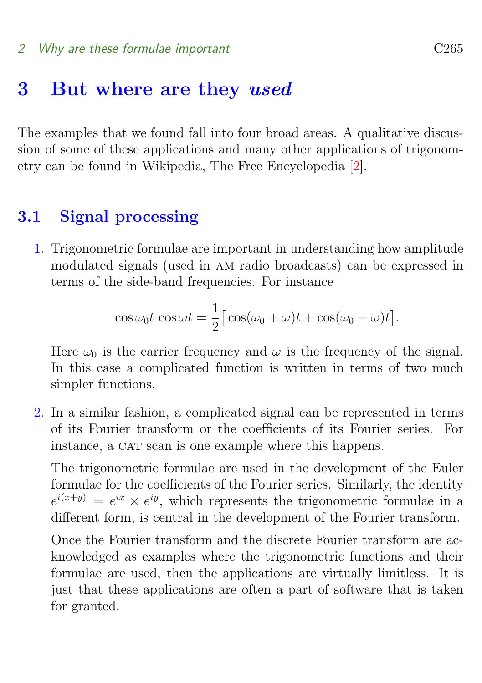#### <span id="page-4-1"></span>2 Why are these formulae important contains the C265

### 3 But where are they used

The examples that we found fall into four broad areas. A qualitative discussion of some of these applications and many other applications of trigonometry can be found in Wikipedia, The Free Encyclopedia [\[2\]](#page-14-2).

### <span id="page-4-0"></span>3.1 Signal processing

1. Trigonometric formulae are important in understanding how amplitude modulated signals (used in am radio broadcasts) can be expressed in terms of the side-band frequencies. For instance

$$
\cos \omega_0 t \cos \omega t = \frac{1}{2} [\cos(\omega_0 + \omega)t + \cos(\omega_0 - \omega)t].
$$

Here  $\omega_0$  is the carrier frequency and  $\omega$  is the frequency of the signal. In this case a complicated function is written in terms of two much simpler functions.

2. In a similar fashion, a complicated signal can be represented in terms of its Fourier transform or the coefficients of its Fourier series. For instance, a CAT scan is one example where this happens.

The trigonometric formulae are used in the development of the Euler formulae for the coefficients of the Fourier series. Similarly, the identity  $e^{i(x+y)} = e^{ix} \times e^{iy}$ , which represents the trigonometric formulae in a different form, is central in the development of the Fourier transform.

Once the Fourier transform and the discrete Fourier transform are acknowledged as examples where the trigonometric functions and their formulae are used, then the applications are virtually limitless. It is just that these applications are often a part of software that is taken for granted.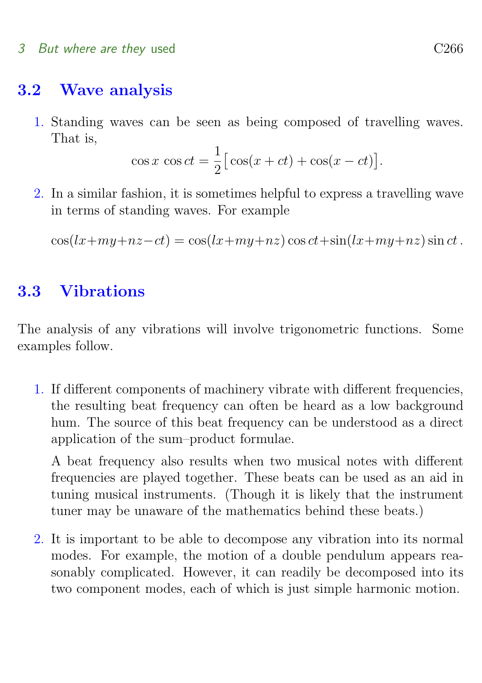#### 3 But where are they used C<sub>266</sub>

### <span id="page-5-0"></span>3.2 Wave analysis

1. Standing waves can be seen as being composed of travelling waves. That is,

$$
\cos x \cos ct = \frac{1}{2} [\cos(x + ct) + \cos(x - ct)].
$$

2. In a similar fashion, it is sometimes helpful to express a travelling wave in terms of standing waves. For example

 $\cos(lx+my+nz-ct) = \cos(lx+my+nz)\cos ct+\sin(lx+my+nz)\sin ct$ .

### <span id="page-5-1"></span>3.3 Vibrations

The analysis of any vibrations will involve trigonometric functions. Some examples follow.

1. If different components of machinery vibrate with different frequencies, the resulting beat frequency can often be heard as a low background hum. The source of this beat frequency can be understood as a direct application of the sum–product formulae.

A beat frequency also results when two musical notes with different frequencies are played together. These beats can be used as an aid in tuning musical instruments. (Though it is likely that the instrument tuner may be unaware of the mathematics behind these beats.)

2. It is important to be able to decompose any vibration into its normal modes. For example, the motion of a double pendulum appears reasonably complicated. However, it can readily be decomposed into its two component modes, each of which is just simple harmonic motion.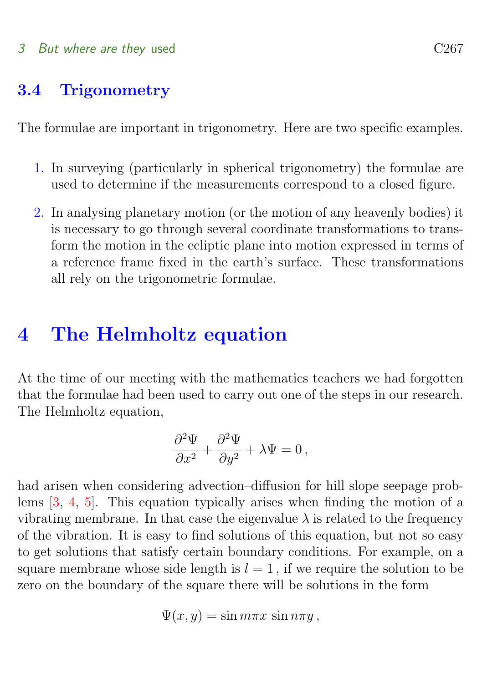#### <span id="page-6-2"></span>3 But where are they used C<sub>267</sub>

### <span id="page-6-0"></span>3.4 Trigonometry

The formulae are important in trigonometry. Here are two specific examples.

- 1. In surveying (particularly in spherical trigonometry) the formulae are used to determine if the measurements correspond to a closed figure.
- 2. In analysing planetary motion (or the motion of any heavenly bodies) it is necessary to go through several coordinate transformations to transform the motion in the ecliptic plane into motion expressed in terms of a reference frame fixed in the earth's surface. These transformations all rely on the trigonometric formulae.

## <span id="page-6-1"></span>4 The Helmholtz equation

At the time of our meeting with the mathematics teachers we had forgotten that the formulae had been used to carry out one of the steps in our research. The Helmholtz equation,

$$
\frac{\partial^2 \Psi}{\partial x^2} + \frac{\partial^2 \Psi}{\partial y^2} + \lambda \Psi = 0 \,,
$$

had arisen when considering advection–diffusion for hill slope seepage problems [\[3,](#page-14-3) [4,](#page-14-4) [5\]](#page-14-5). This equation typically arises when finding the motion of a vibrating membrane. In that case the eigenvalue  $\lambda$  is related to the frequency of the vibration. It is easy to find solutions of this equation, but not so easy to get solutions that satisfy certain boundary conditions. For example, on a square membrane whose side length is  $l = 1$ , if we require the solution to be zero on the boundary of the square there will be solutions in the form

$$
\Psi(x,y)=\sin m\pi x\,\sin n\pi y\,,
$$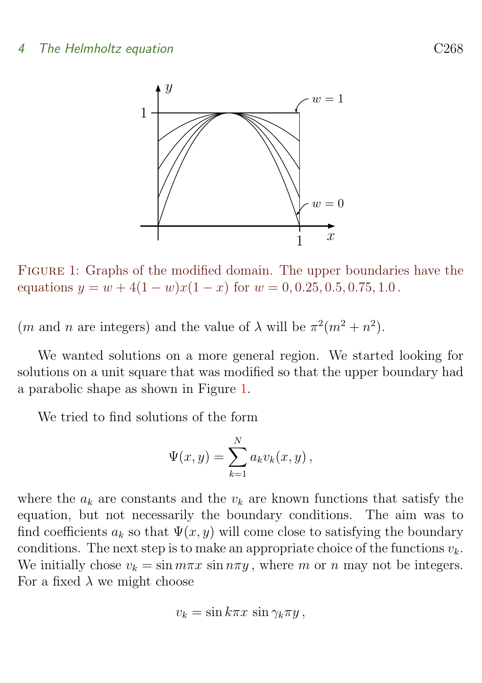

<span id="page-7-0"></span>Figure 1: Graphs of the modified domain. The upper boundaries have the equations  $y = w + 4(1 - w)x(1 - x)$  for  $w = 0, 0.25, 0.5, 0.75, 1.0$ .

(*m* and *n* are integers) and the value of  $\lambda$  will be  $\pi^2(m^2 + n^2)$ .

We wanted solutions on a more general region. We started looking for solutions on a unit square that was modified so that the upper boundary had a parabolic shape as shown in Figure [1.](#page-7-0)

We tried to find solutions of the form

$$
\Psi(x,y) = \sum_{k=1}^{N} a_k v_k(x,y) ,
$$

where the  $a_k$  are constants and the  $v_k$  are known functions that satisfy the equation, but not necessarily the boundary conditions. The aim was to find coefficients  $a_k$  so that  $\Psi(x, y)$  will come close to satisfying the boundary conditions. The next step is to make an appropriate choice of the functions  $v_k$ . We initially chose  $v_k = \sin m\pi x \sin n\pi y$ , where m or n may not be integers. For a fixed  $\lambda$  we might choose

$$
v_k = \sin k\pi x \, \sin \gamma_k \pi y \,,
$$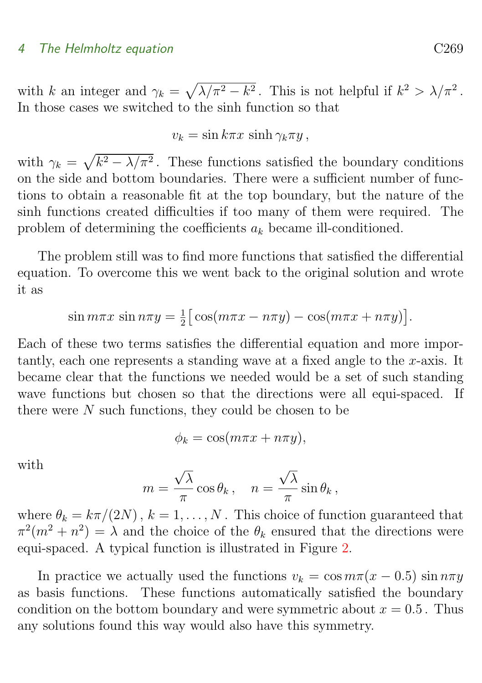#### 4 The Helmholtz equation C269

with k an integer and  $\gamma_k = \sqrt{\lambda/\pi^2 - k^2}$ . This is not helpful if  $k^2 > \lambda/\pi^2$ . In those cases we switched to the sinh function so that

 $v_k = \sin k\pi x \, \sinh \gamma_k \pi y$ ,

with  $\gamma_k = \sqrt{k^2 - \lambda/\pi^2}$ . These functions satisfied the boundary conditions on the side and bottom boundaries. There were a sufficient number of functions to obtain a reasonable fit at the top boundary, but the nature of the sinh functions created difficulties if too many of them were required. The problem of determining the coefficients  $a_k$  became ill-conditioned.

The problem still was to find more functions that satisfied the differential equation. To overcome this we went back to the original solution and wrote it as

$$
\sin m\pi x \sin n\pi y = \frac{1}{2} \big[ \cos(m\pi x - n\pi y) - \cos(m\pi x + n\pi y) \big].
$$

Each of these two terms satisfies the differential equation and more importantly, each one represents a standing wave at a fixed angle to the x-axis. It became clear that the functions we needed would be a set of such standing wave functions but chosen so that the directions were all equi-spaced. If there were N such functions, they could be chosen to be

$$
\phi_k = \cos(m\pi x + n\pi y),
$$

with

$$
m = \frac{\sqrt{\lambda}}{\pi} \cos \theta_k, \quad n = \frac{\sqrt{\lambda}}{\pi} \sin \theta_k,
$$

where  $\theta_k = k\pi/(2N)$ ,  $k = 1, ..., N$ . This choice of function guaranteed that  $\pi^2(m^2 + n^2) = \lambda$  and the choice of the  $\theta_k$  ensured that the directions were equi-spaced. A typical function is illustrated in Figure [2.](#page-9-1)

In practice we actually used the functions  $v_k = \cos m\pi(x - 0.5) \sin n\pi y$ as basis functions. These functions automatically satisfied the boundary condition on the bottom boundary and were symmetric about  $x = 0.5$ . Thus any solutions found this way would also have this symmetry.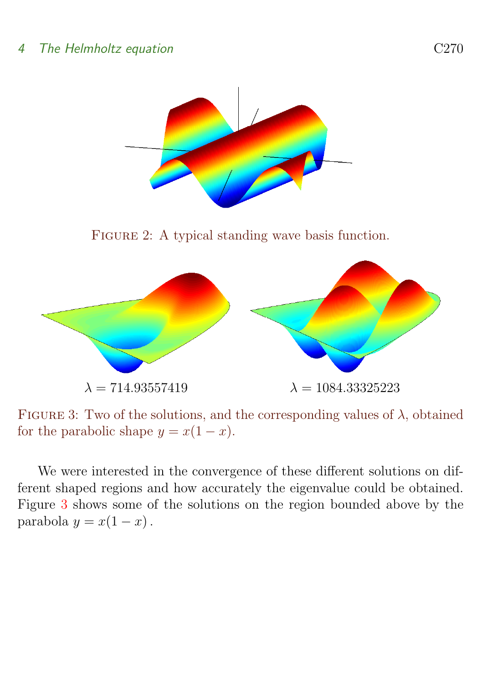<span id="page-9-1"></span>

<span id="page-9-2"></span>FIGURE 3: Two of the solutions, and the corresponding values of  $\lambda$ , obtained for the parabolic shape  $y = x(1-x)$ .

<span id="page-9-0"></span>We were interested in the convergence of these different solutions on different shaped regions and how accurately the eigenvalue could be obtained. Figure [3](#page-9-2) shows some of the solutions on the region bounded above by the parabola  $y = x(1 - x)$ .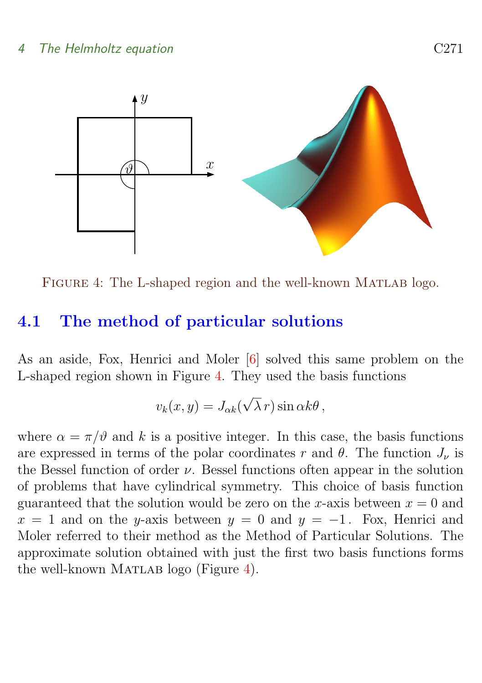<span id="page-10-2"></span>

<span id="page-10-1"></span>FIGURE 4: The L-shaped region and the well-known MATLAB logo.

### 4.1 The method of particular solutions

As an aside, Fox, Henrici and Moler [\[6\]](#page-15-0) solved this same problem on the L-shaped region shown in Figure [4.](#page-10-1) They used the basis functions

$$
v_k(x,y) = J_{\alpha k}(\sqrt{\lambda} r) \sin \alpha k \theta ,
$$

<span id="page-10-0"></span>where  $\alpha = \pi/\vartheta$  and k is a positive integer. In this case, the basis functions are expressed in terms of the polar coordinates r and  $\theta$ . The function  $J_{\nu}$  is the Bessel function of order  $\nu$ . Bessel functions often appear in the solution of problems that have cylindrical symmetry. This choice of basis function guaranteed that the solution would be zero on the x-axis between  $x = 0$  and  $x = 1$  and on the y-axis between  $y = 0$  and  $y = -1$ . Fox, Henrici and Moler referred to their method as the Method of Particular Solutions. The approximate solution obtained with just the first two basis functions forms the well-known MATLAB logo (Figure  $4$ ).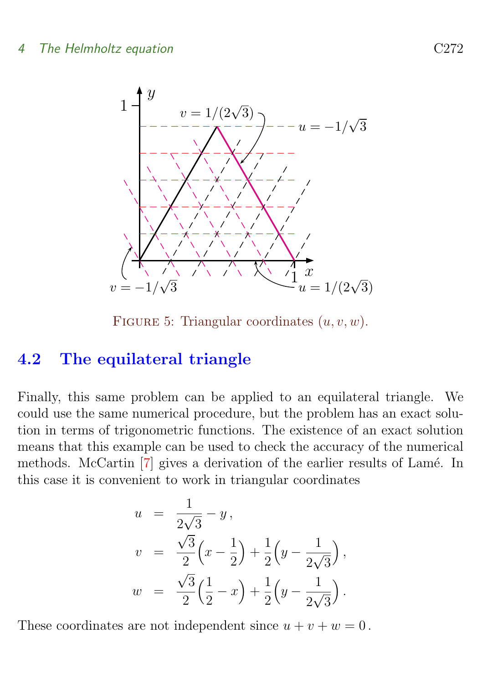<span id="page-11-0"></span>

FIGURE 5: Triangular coordinates  $(u, v, w)$ .

### 4.2 The equilateral triangle

Finally, this same problem can be applied to an equilateral triangle. We could use the same numerical procedure, but the problem has an exact solution in terms of trigonometric functions. The existence of an exact solution means that this example can be used to check the accuracy of the numerical methods. McCartin [\[7\]](#page-15-1) gives a derivation of the earlier results of Lamé. In this case it is convenient to work in triangular coordinates

$$
u = \frac{1}{2\sqrt{3}} - y,
$$
  
\n
$$
v = \frac{\sqrt{3}}{2} \left( x - \frac{1}{2} \right) + \frac{1}{2} \left( y - \frac{1}{2\sqrt{3}} \right),
$$
  
\n
$$
w = \frac{\sqrt{3}}{2} \left( \frac{1}{2} - x \right) + \frac{1}{2} \left( y - \frac{1}{2\sqrt{3}} \right).
$$

These coordinates are not independent since  $u + v + w = 0$ .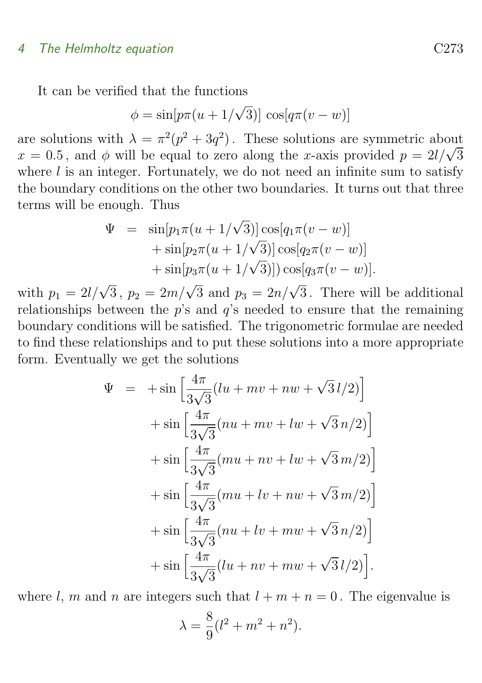#### 4 The Helmholtz equation C273

It can be verified that the functions

$$
\phi = \sin[p\pi(u+1/\sqrt{3})] \cos[q\pi(v-w)]
$$

are solutions with  $\lambda = \pi^2(p^2 + 3q^2)$ . These solutions are symmetric about are solutions with  $\lambda = \pi^-(p^+ + 3q^-)$ . These solutions are symmetric about  $x = 0.5$ , and  $\phi$  will be equal to zero along the x-axis provided  $p = 2l/\sqrt{3}$ where  $l$  is an integer. Fortunately, we do not need an infinite sum to satisfy the boundary conditions on the other two boundaries. It turns out that three terms will be enough. Thus

$$
\Psi = \sin[p_1 \pi (u + 1/\sqrt{3})] \cos[q_1 \pi (v - w)] \n+ \sin[p_2 \pi (u + 1/\sqrt{3})] \cos[q_2 \pi (v - w)] \n+ \sin[p_3 \pi (u + 1/\sqrt{3})]) \cos[q_3 \pi (v - w)].
$$

with  $p_1 = 2l/\sqrt{3}$ ,  $p_2 = 2m/\sqrt{3}$  and  $p_3 = 2n/\sqrt{3}$ . There will be additional relationships between the  $p$ 's and  $q$ 's needed to ensure that the remaining boundary conditions will be satisfied. The trigonometric formulae are needed to find these relationships and to put these solutions into a more appropriate form. Eventually we get the solutions

$$
\Psi = +\sin\left[\frac{4\pi}{3\sqrt{3}}(lu + mv + nw + \sqrt{3}l/2)\right] \n+ \sin\left[\frac{4\pi}{3\sqrt{3}}(nu + mv + lw + \sqrt{3}n/2)\right] \n+ \sin\left[\frac{4\pi}{3\sqrt{3}}(mu + nv + lw + \sqrt{3}m/2)\right] \n+ \sin\left[\frac{4\pi}{3\sqrt{3}}(mu + lw + nw + \sqrt{3}m/2)\right] \n+ \sin\left[\frac{4\pi}{3\sqrt{3}}(nu + lw + mw + \sqrt{3}n/2)\right] \n+ \sin\left[\frac{4\pi}{3\sqrt{3}}(lu + nv + mw + \sqrt{3}l/2)\right].
$$

where l, m and n are integers such that  $l + m + n = 0$ . The eigenvalue is

$$
\lambda = \frac{8}{9}(l^2 + m^2 + n^2).
$$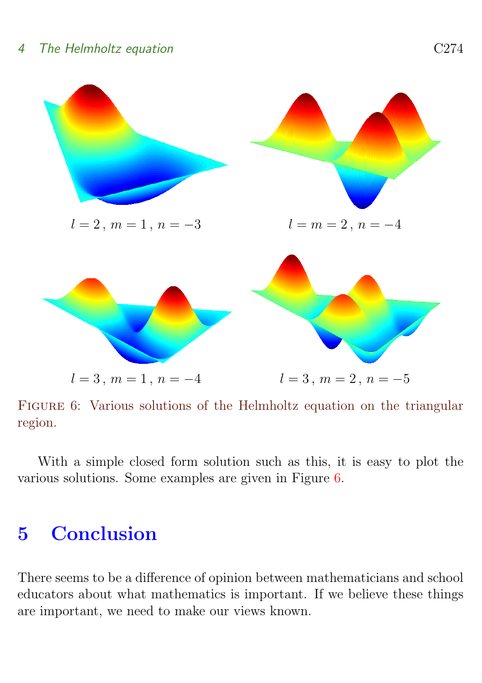

<span id="page-13-1"></span>FIGURE 6: Various solutions of the Helmholtz equation on the triangular region.

With a simple closed form solution such as this, it is easy to plot the various solutions. Some examples are given in Figure [6.](#page-13-1)

# <span id="page-13-0"></span>5 Conclusion

There seems to be a difference of opinion between mathematicians and school educators about what mathematics is important. If we believe these things are important, we need to make our views known.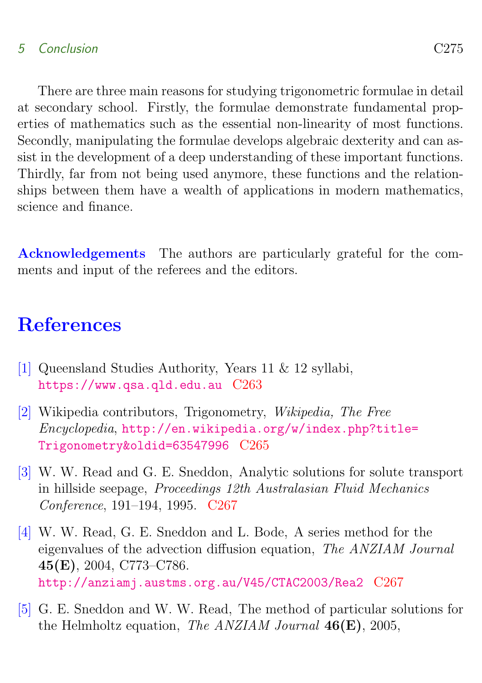### 5 Conclusion C275

There are three main reasons for studying trigonometric formulae in detail at secondary school. Firstly, the formulae demonstrate fundamental properties of mathematics such as the essential non-linearity of most functions. Secondly, manipulating the formulae develops algebraic dexterity and can assist in the development of a deep understanding of these important functions. Thirdly, far from not being used anymore, these functions and the relationships between them have a wealth of applications in modern mathematics, science and finance.

Acknowledgements The authors are particularly grateful for the comments and input of the referees and the editors.

# **References**

- <span id="page-14-1"></span><span id="page-14-0"></span>[1] Queensland Studies Authority, Years 11 & 12 syllabi, <https://www.qsa.qld.edu.au> [C263](#page-2-2)
- <span id="page-14-2"></span>[2] Wikipedia contributors, Trigonometry, Wikipedia, The Free Encyclopedia, [http://en.wikipedia.org/w/index.php?title=](http://en.wikipedia.org/w/index.php?title=Trigonometry&oldid=63547996) [Trigonometry&oldid=63547996](http://en.wikipedia.org/w/index.php?title=Trigonometry&oldid=63547996) [C265](#page-4-1)
- <span id="page-14-3"></span>[3] W. W. Read and G. E. Sneddon, Analytic solutions for solute transport in hillside seepage, Proceedings 12th Australasian Fluid Mechanics Conference, 191–194, 1995. [C267](#page-6-2)
- <span id="page-14-4"></span>[4] W. W. Read, G. E. Sneddon and L. Bode, A series method for the eigenvalues of the advection diffusion equation, The ANZIAM Journal 45(E), 2004, C773–C786. <http://anziamj.austms.org.au/V45/CTAC2003/Rea2> [C267](#page-6-2)
- <span id="page-14-5"></span>[5] G. E. Sneddon and W. W. Read, The method of particular solutions for the Helmholtz equation, The ANZIAM Journal  $46(E)$ , 2005,